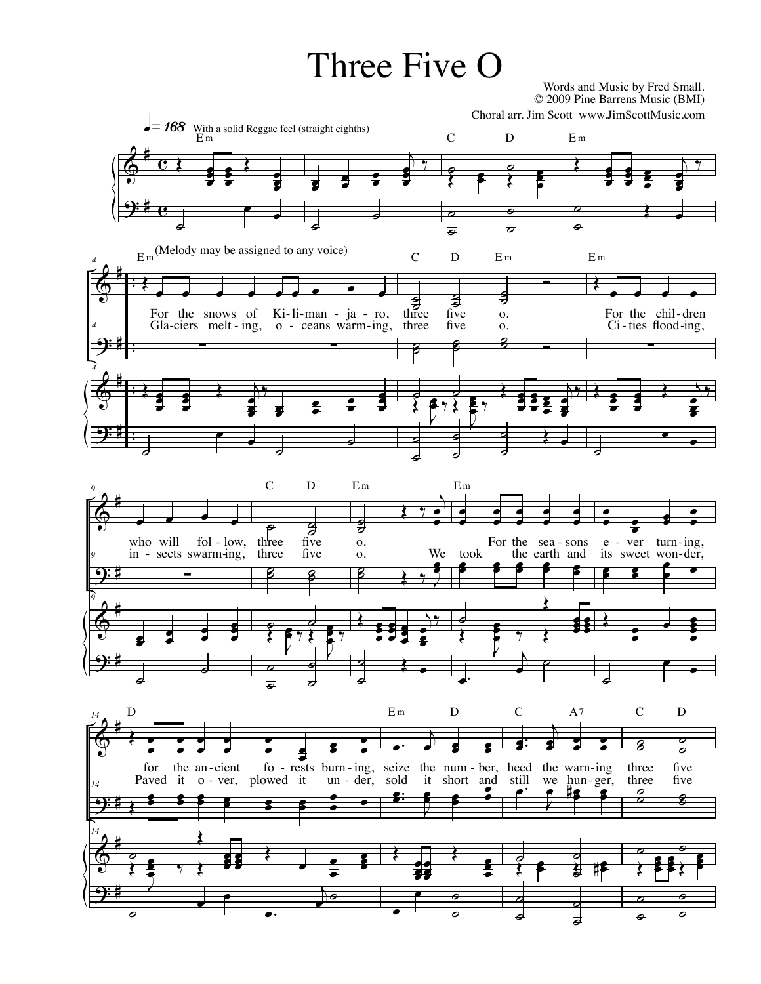## Three Five O

 Words and Music by Fred Small. © 2009 Pine Barrens Music (BMI)



 $\overline{\phantom{a}}$ 

o<br>ङ ∴<br>७ ।। ১

 $\blacksquare$ 

 $\overline{\phantom{a}}$ 

œ.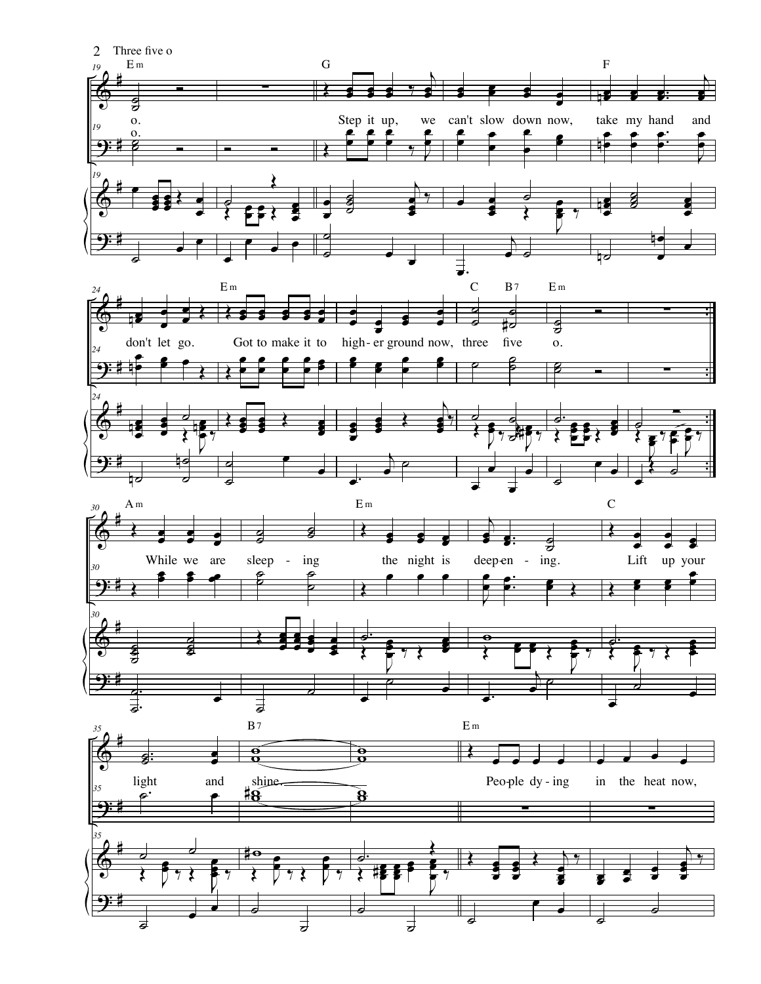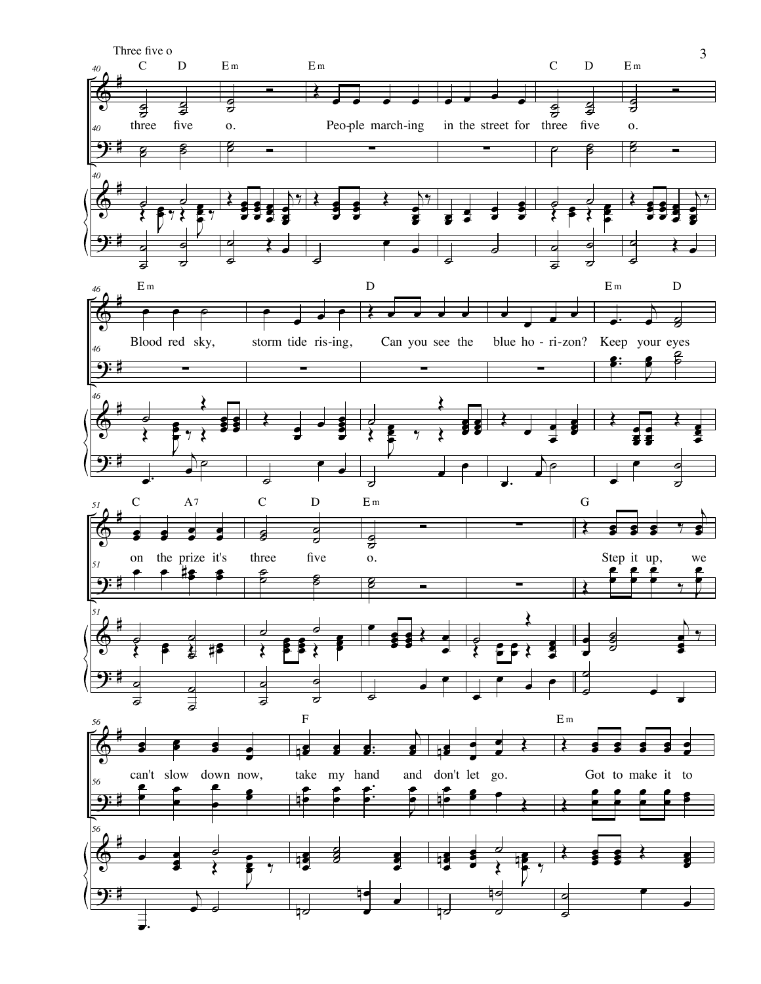